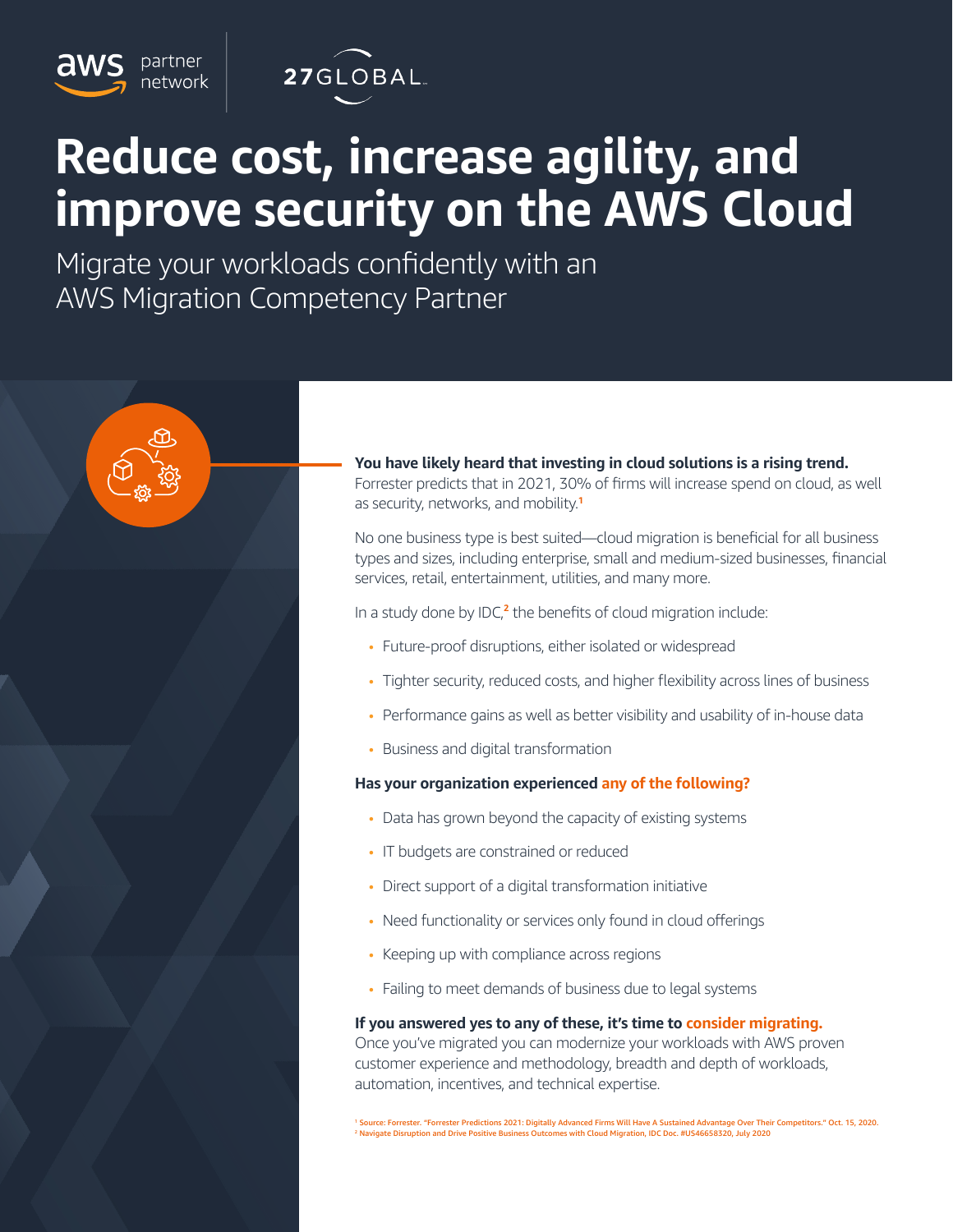

partner

ıetwork

# **Reduce cost, increase agility, and improve security on the AWS Cloud**

Migrate your workloads confidently with an AWS Migration Competency Partner

> **You have likely heard that investing in cloud solutions is a rising trend.** Forrester predicts that in 2021, 30% of firms will increase spend on cloud, as well as security, networks, and mobility.**<sup>1</sup>**

> No one business type is best suited—cloud migration is beneficial for all business types and sizes, including enterprise, small and medium-sized businesses, financial services, retail, entertainment, utilities, and many more.

In a study done by IDC,**<sup>2</sup>** the benefits of cloud migration include:

- Future-proof disruptions, either isolated or widespread
- Tighter security, reduced costs, and higher flexibility across lines of business
- Performance gains as well as better visibility and usability of in-house data
- Business and digital transformation

## **Has your organization experienced any of the following?**

- Data has grown beyond the capacity of existing systems
- IT budgets are constrained or reduced
- Direct support of a digital transformation initiative
- Need functionality or services only found in cloud offerings
- Keeping up with compliance across regions
- Failing to meet demands of business due to legal systems

## **If you answered yes to any of these, it's time to consider migrating.**

Once you've migrated you can modernize your workloads with AWS proven customer experience and methodology, breadth and depth of workloads, automation, incentives, and technical expertise.

1 Source: Forrester. "Forrester Predictions 2021: Digitally Advanced Firms Will Have A Sustained Advantage Over Their Competitors." Oct. 15, 2020. 2 Navigate Disruption and Drive Positive Business Outcomes with Cloud Migration, IDC Doc. #US46658320, July 2020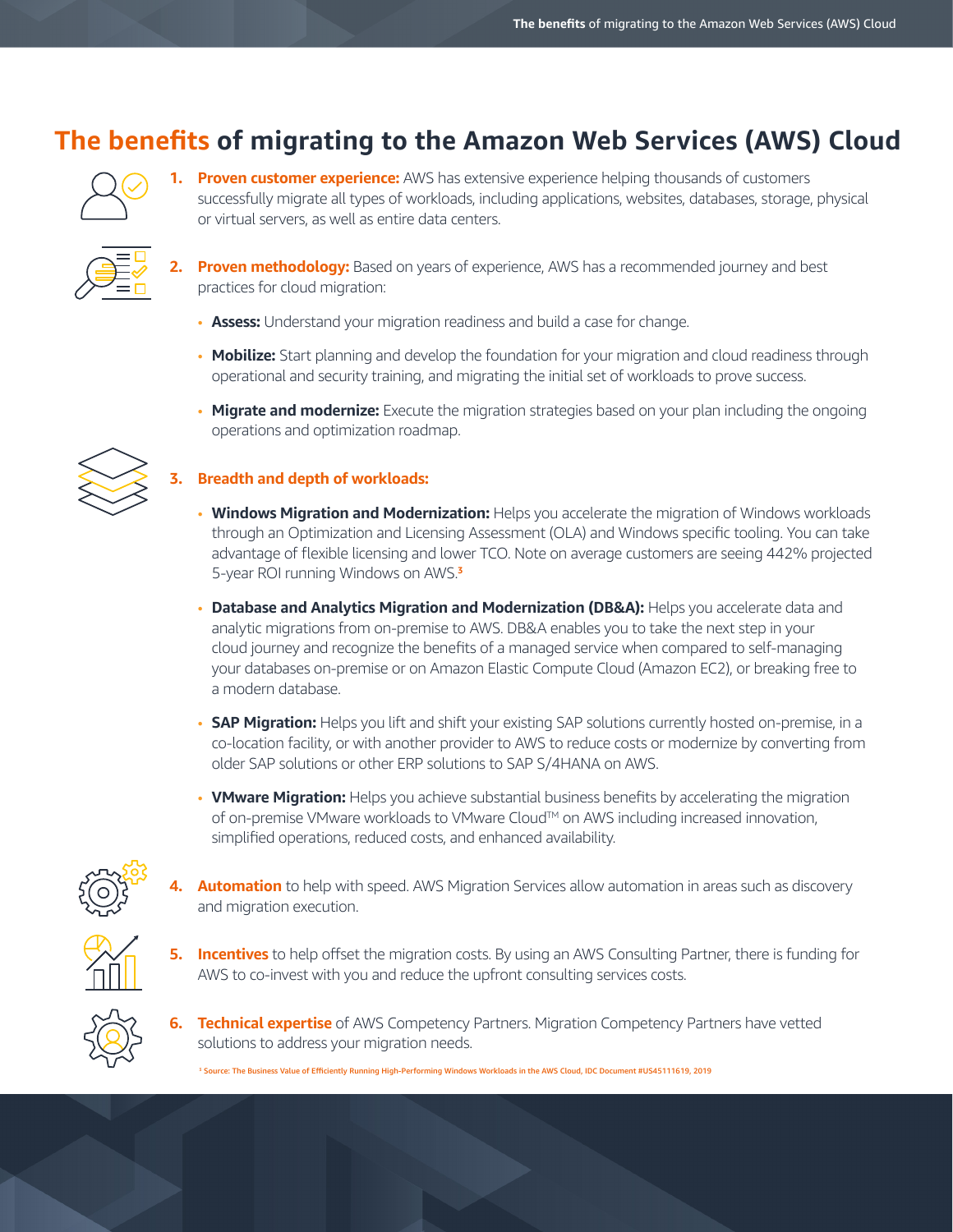# **The benefits of migrating to the Amazon Web Services (AWS) Cloud**



**Proven customer experience:** AWS has extensive experience helping thousands of customers successfully migrate all types of workloads, including applications, websites, databases, storage, physical or virtual servers, as well as entire data centers.



**2. Proven methodology:** Based on years of experience, AWS has a recommended journey and best practices for cloud migration:

- **Assess:** Understand your migration readiness and build a case for change.
- **Mobilize:** Start planning and develop the foundation for your migration and cloud readiness through operational and security training, and migrating the initial set of workloads to prove success.
- **Migrate and modernize:** Execute the migration strategies based on your plan including the ongoing operations and optimization roadmap.

# **3. Breadth and depth of workloads:**

- **Windows Migration and Modernization:** Helps you accelerate the migration of Windows workloads through an Optimization and Licensing Assessment (OLA) and Windows specific tooling. You can take advantage of flexible licensing and lower TCO. Note on average customers are seeing 442% projected 5-year ROI running Windows on AWS.**<sup>3</sup>**
- **Database and Analytics Migration and Modernization (DB&A):** Helps you accelerate data and analytic migrations from on-premise to AWS. DB&A enables you to take the next step in your cloud journey and recognize the benefits of a managed service when compared to self-managing your databases on-premise or on Amazon Elastic Compute Cloud (Amazon EC2), or breaking free to a modern database.
- **SAP Migration:** Helps you lift and shift your existing SAP solutions currently hosted on-premise, in a co-location facility, or with another provider to AWS to reduce costs or modernize by converting from older SAP solutions or other ERP solutions to SAP S/4HANA on AWS.
- **VMware Migration:** Helps you achieve substantial business benefits by accelerating the migration of on-premise VMware workloads to VMware Cloud™ on AWS including increased innovation, simplified operations, reduced costs, and enhanced availability.



- **4. Automation** to help with speed. AWS Migration Services allow automation in areas such as discovery and migration execution.
- 
- **5. Incentives** to help offset the migration costs. By using an AWS Consulting Partner, there is funding for AWS to co-invest with you and reduce the upfront consulting services costs.



**6. Technical expertise** of AWS Competency Partners. Migration Competency Partners have vetted solutions to address your migration needs.

3 Source: The Business Value of Efficiently Running High-Performing Windows Workloads in the AWS Cloud, IDC Document #US45111619, 2019

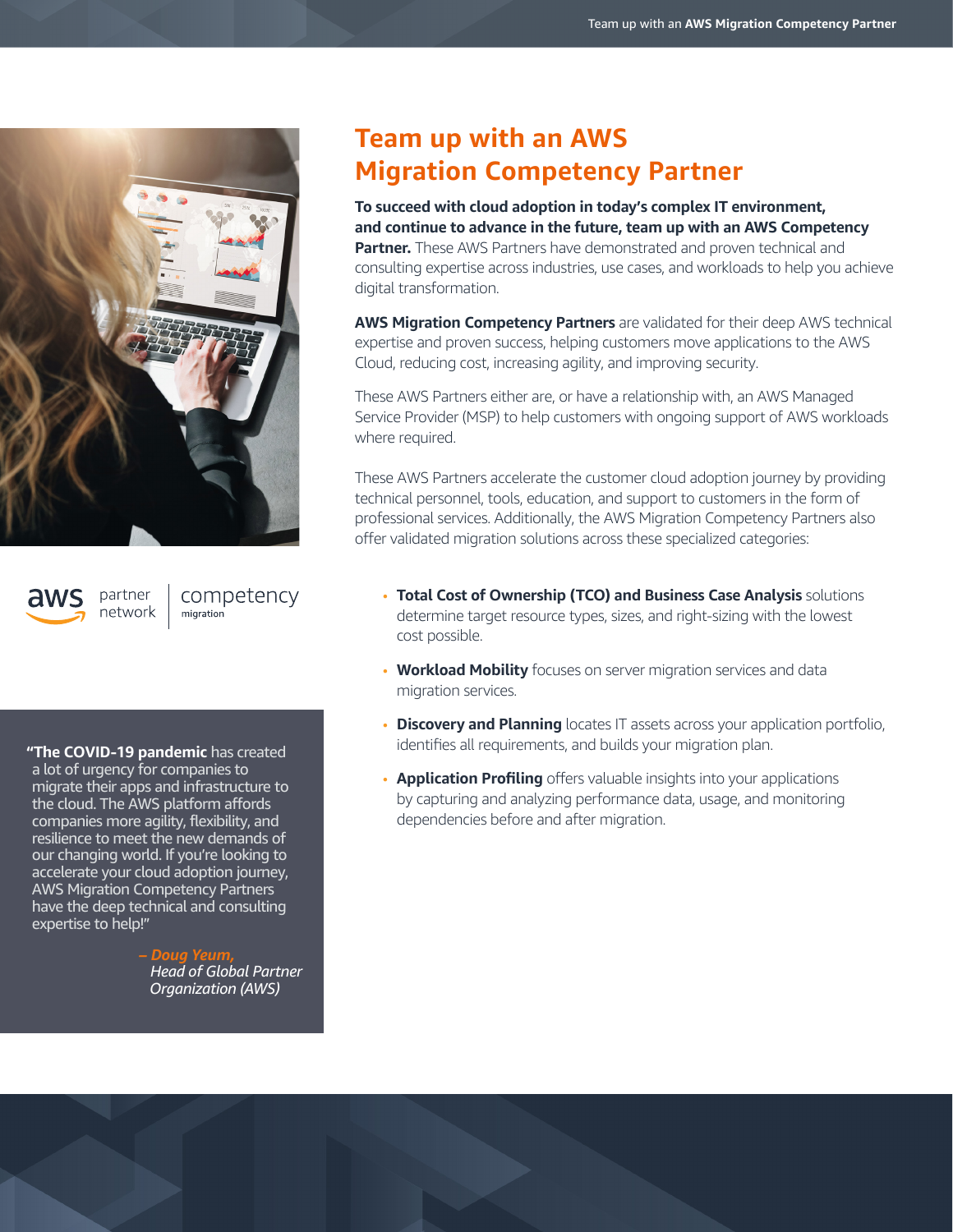

partner

network

competency migration

**"The COVID-19 pandemic** has created a lot of urgency for companies to migrate their apps and infrastructure to the cloud. The AWS platform affords companies more agility, flexibility, and resilience to meet the new demands of our changing world. If you're looking to accelerate your cloud adoption journey, AWS Migration Competency Partners have the deep technical and consulting expertise to help!"

> *– Doug Yeum, Head of Global Partner Organization (AWS)*

# **Team up with an AWS Migration Competency Partner**

**To succeed with cloud adoption in today's complex IT environment, and continue to advance in the future, team up with an AWS Competency Partner.** These AWS Partners have demonstrated and proven technical and consulting expertise across industries, use cases, and workloads to help you achieve digital transformation.

**AWS Migration Competency Partners** are validated for their deep AWS technical expertise and proven success, helping customers move applications to the AWS Cloud, reducing cost, increasing agility, and improving security.

These AWS Partners either are, or have a relationship with, an AWS Managed Service Provider (MSP) to help customers with ongoing support of AWS workloads where required.

These AWS Partners accelerate the customer cloud adoption journey by providing technical personnel, tools, education, and support to customers in the form of professional services. Additionally, the AWS Migration Competency Partners also offer validated migration solutions across these specialized categories:

- **Total Cost of Ownership (TCO) and Business Case Analysis** solutions determine target resource types, sizes, and right-sizing with the lowest cost possible.
- **Workload Mobility** focuses on server migration services and data migration services.
- **Discovery and Planning** locates IT assets across your application portfolio, identifies all requirements, and builds your migration plan.
- **Application Profiling** offers valuable insights into your applications by capturing and analyzing performance data, usage, and monitoring dependencies before and after migration.